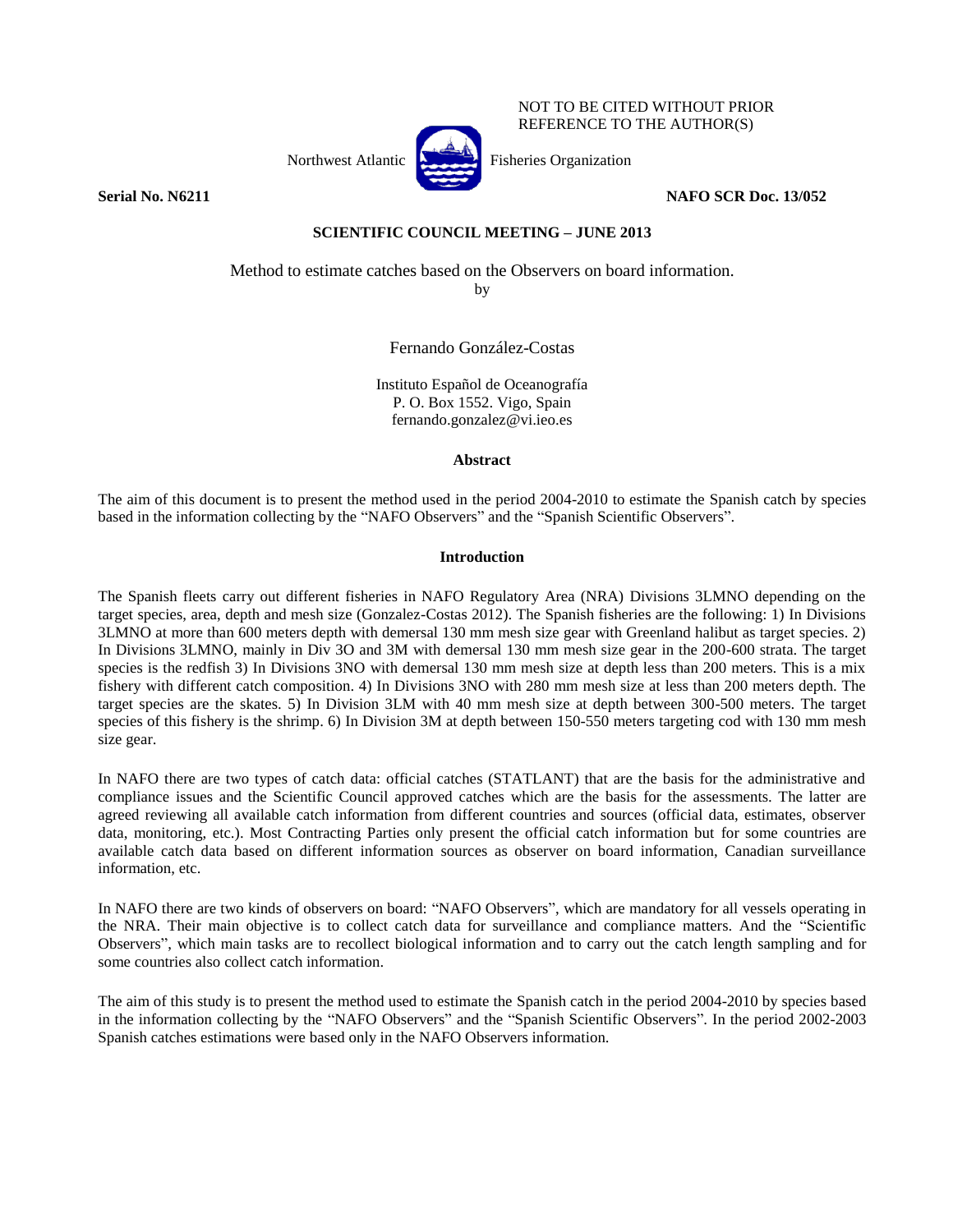NOT TO BE CITED WITHOUT PRIOR REFERENCE TO THE AUTHOR(S)

Northwest Atlantic  $\begin{bmatrix} \sqrt{1-\frac{1}{2}} \\ \sqrt{1-\frac{1}{2}} \\ \sqrt{1-\frac{1}{2}} \\ \sqrt{1-\frac{1}{2}} \\ \sqrt{1-\frac{1}{2}} \\ \sqrt{1-\frac{1}{2}} \\ \sqrt{1-\frac{1}{2}} \\ \sqrt{1-\frac{1}{2}} \\ \sqrt{1-\frac{1}{2}} \\ \sqrt{1-\frac{1}{2}} \\ \sqrt{1-\frac{1}{2}} \\ \sqrt{1-\frac{1}{2}} \\ \sqrt{1-\frac{1}{2}} \\ \sqrt{1-\frac{1}{2}} \\ \sqrt{1-\frac{1}{2}} \\ \sqrt{1-\frac{1}{2}} \\ \sqrt{$ 

**Serial No. N6211 NAFO SCR Doc. 13/052** 

# **SCIENTIFIC COUNCIL MEETING – JUNE 2013**

Method to estimate catches based on the Observers on board information.

by

Fernando González-Costas

Instituto Español de Oceanografía P. O. Box 1552. Vigo, Spain fernando.gonzalez@vi.ieo.es

## **Abstract**

The aim of this document is to present the method used in the period 2004-2010 to estimate the Spanish catch by species based in the information collecting by the "NAFO Observers" and the "Spanish Scientific Observers".

# **Introduction**

The Spanish fleets carry out different fisheries in NAFO Regulatory Area (NRA) Divisions 3LMNO depending on the target species, area, depth and mesh size (Gonzalez-Costas 2012). The Spanish fisheries are the following: 1) In Divisions 3LMNO at more than 600 meters depth with demersal 130 mm mesh size gear with Greenland halibut as target species. 2) In Divisions 3LMNO, mainly in Div 3O and 3M with demersal 130 mm mesh size gear in the 200-600 strata. The target species is the redfish 3) In Divisions 3NO with demersal 130 mm mesh size at depth less than 200 meters. This is a mix fishery with different catch composition. 4) In Divisions 3NO with 280 mm mesh size at less than 200 meters depth. The target species are the skates. 5) In Division 3LM with 40 mm mesh size at depth between 300-500 meters. The target species of this fishery is the shrimp. 6) In Division 3M at depth between 150-550 meters targeting cod with 130 mm mesh size gear.

In NAFO there are two types of catch data: official catches (STATLANT) that are the basis for the administrative and compliance issues and the Scientific Council approved catches which are the basis for the assessments. The latter are agreed reviewing all available catch information from different countries and sources (official data, estimates, observer data, monitoring, etc.). Most Contracting Parties only present the official catch information but for some countries are available catch data based on different information sources as observer on board information, Canadian surveillance information, etc.

In NAFO there are two kinds of observers on board: "NAFO Observers", which are mandatory for all vessels operating in the NRA. Their main objective is to collect catch data for surveillance and compliance matters. And the "Scientific Observers", which main tasks are to recollect biological information and to carry out the catch length sampling and for some countries also collect catch information.

The aim of this study is to present the method used to estimate the Spanish catch in the period 2004-2010 by species based in the information collecting by the "NAFO Observers" and the "Spanish Scientific Observers". In the period 2002-2003 Spanish catches estimations were based only in the NAFO Observers information.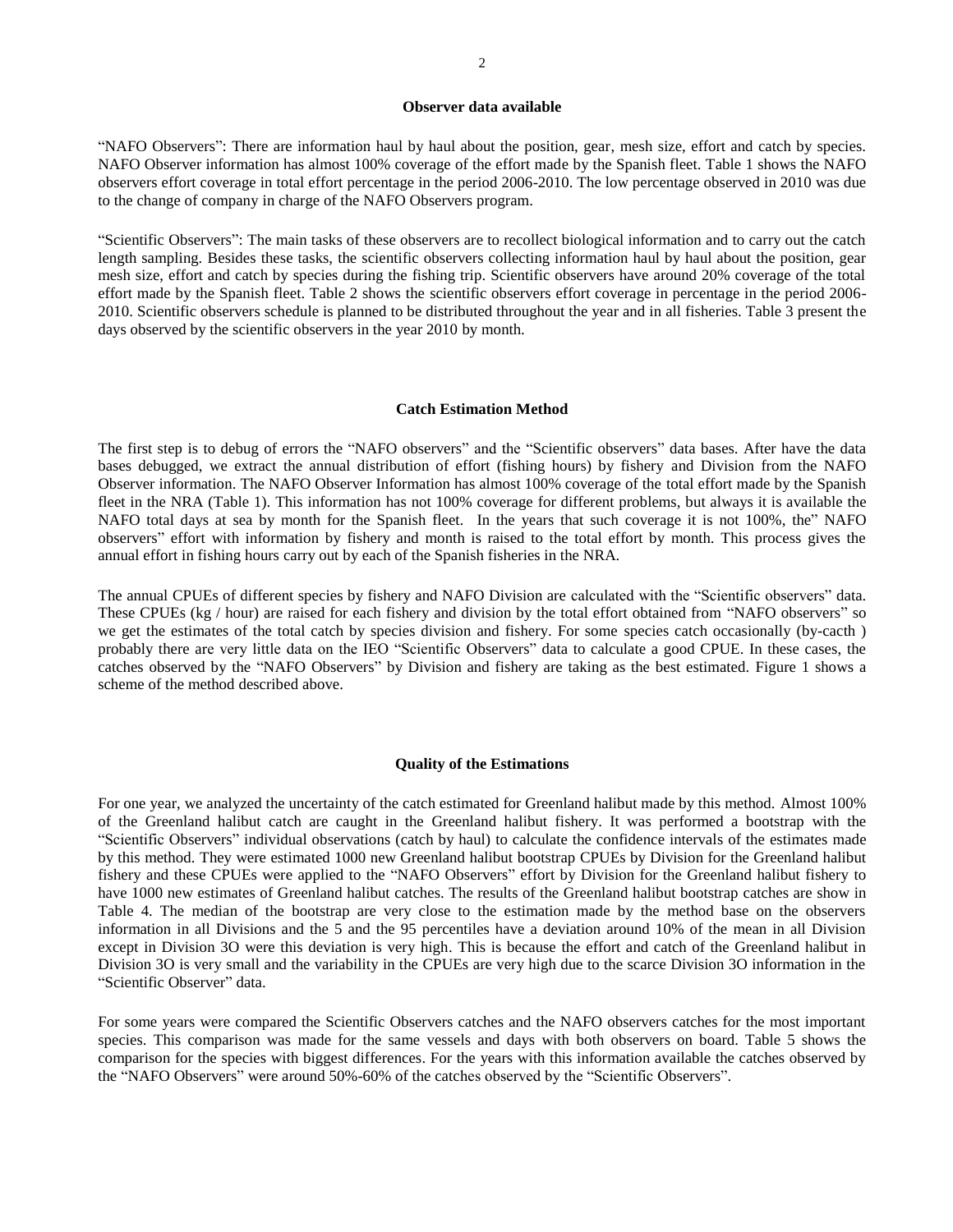#### **Observer data available**

"NAFO Observers": There are information haul by haul about the position, gear, mesh size, effort and catch by species. NAFO Observer information has almost 100% coverage of the effort made by the Spanish fleet. Table 1 shows the NAFO observers effort coverage in total effort percentage in the period 2006-2010. The low percentage observed in 2010 was due to the change of company in charge of the NAFO Observers program.

"Scientific Observers": The main tasks of these observers are to recollect biological information and to carry out the catch length sampling. Besides these tasks, the scientific observers collecting information haul by haul about the position, gear mesh size, effort and catch by species during the fishing trip. Scientific observers have around 20% coverage of the total effort made by the Spanish fleet. Table 2 shows the scientific observers effort coverage in percentage in the period 2006- 2010. Scientific observers schedule is planned to be distributed throughout the year and in all fisheries. Table 3 present the days observed by the scientific observers in the year 2010 by month.

## **Catch Estimation Method**

The first step is to debug of errors the "NAFO observers" and the "Scientific observers" data bases. After have the data bases debugged, we extract the annual distribution of effort (fishing hours) by fishery and Division from the NAFO Observer information. The NAFO Observer Information has almost 100% coverage of the total effort made by the Spanish fleet in the NRA (Table 1). This information has not 100% coverage for different problems, but always it is available the NAFO total days at sea by month for the Spanish fleet. In the years that such coverage it is not 100%, the" NAFO observers" effort with information by fishery and month is raised to the total effort by month. This process gives the annual effort in fishing hours carry out by each of the Spanish fisheries in the NRA.

The annual CPUEs of different species by fishery and NAFO Division are calculated with the "Scientific observers" data. These CPUEs (kg / hour) are raised for each fishery and division by the total effort obtained from "NAFO observers" so we get the estimates of the total catch by species division and fishery. For some species catch occasionally (by-cacth ) probably there are very little data on the IEO "Scientific Observers" data to calculate a good CPUE. In these cases, the catches observed by the "NAFO Observers" by Division and fishery are taking as the best estimated. Figure 1 shows a scheme of the method described above.

#### **Quality of the Estimations**

For one year, we analyzed the uncertainty of the catch estimated for Greenland halibut made by this method. Almost 100% of the Greenland halibut catch are caught in the Greenland halibut fishery. It was performed a bootstrap with the "Scientific Observers" individual observations (catch by haul) to calculate the confidence intervals of the estimates made by this method. They were estimated 1000 new Greenland halibut bootstrap CPUEs by Division for the Greenland halibut fishery and these CPUEs were applied to the "NAFO Observers" effort by Division for the Greenland halibut fishery to have 1000 new estimates of Greenland halibut catches. The results of the Greenland halibut bootstrap catches are show in Table 4. The median of the bootstrap are very close to the estimation made by the method base on the observers information in all Divisions and the 5 and the 95 percentiles have a deviation around 10% of the mean in all Division except in Division 3O were this deviation is very high. This is because the effort and catch of the Greenland halibut in Division 3O is very small and the variability in the CPUEs are very high due to the scarce Division 3O information in the "Scientific Observer" data.

For some years were compared the Scientific Observers catches and the NAFO observers catches for the most important species. This comparison was made for the same vessels and days with both observers on board. Table 5 shows the comparison for the species with biggest differences. For the years with this information available the catches observed by the "NAFO Observers" were around 50%-60% of the catches observed by the "Scientific Observers".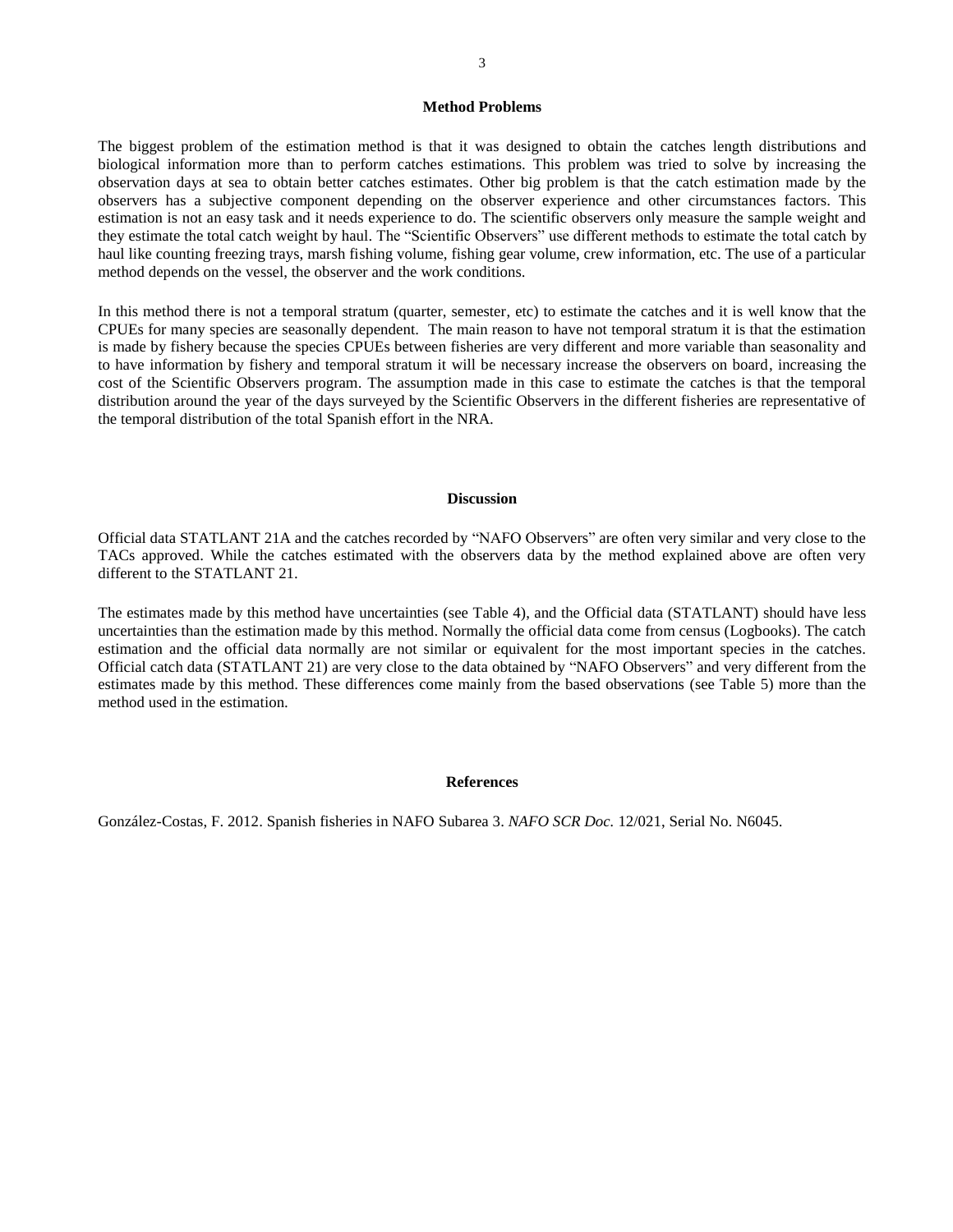# 3

## **Method Problems**

The biggest problem of the estimation method is that it was designed to obtain the catches length distributions and biological information more than to perform catches estimations. This problem was tried to solve by increasing the observation days at sea to obtain better catches estimates. Other big problem is that the catch estimation made by the observers has a subjective component depending on the observer experience and other circumstances factors. This estimation is not an easy task and it needs experience to do. The scientific observers only measure the sample weight and they estimate the total catch weight by haul. The "Scientific Observers" use different methods to estimate the total catch by haul like counting freezing trays, marsh fishing volume, fishing gear volume, crew information, etc. The use of a particular method depends on the vessel, the observer and the work conditions.

In this method there is not a temporal stratum (quarter, semester, etc) to estimate the catches and it is well know that the CPUEs for many species are seasonally dependent. The main reason to have not temporal stratum it is that the estimation is made by fishery because the species CPUEs between fisheries are very different and more variable than seasonality and to have information by fishery and temporal stratum it will be necessary increase the observers on board, increasing the cost of the Scientific Observers program. The assumption made in this case to estimate the catches is that the temporal distribution around the year of the days surveyed by the Scientific Observers in the different fisheries are representative of the temporal distribution of the total Spanish effort in the NRA.

## **Discussion**

Official data STATLANT 21A and the catches recorded by "NAFO Observers" are often very similar and very close to the TACs approved. While the catches estimated with the observers data by the method explained above are often very different to the STATLANT 21.

The estimates made by this method have uncertainties (see Table 4), and the Official data (STATLANT) should have less uncertainties than the estimation made by this method. Normally the official data come from census (Logbooks). The catch estimation and the official data normally are not similar or equivalent for the most important species in the catches. Official catch data (STATLANT 21) are very close to the data obtained by "NAFO Observers" and very different from the estimates made by this method. These differences come mainly from the based observations (see Table 5) more than the method used in the estimation.

#### **References**

González-Costas, F. 2012. Spanish fisheries in NAFO Subarea 3. *NAFO SCR Doc.* 12/021, Serial No. N6045.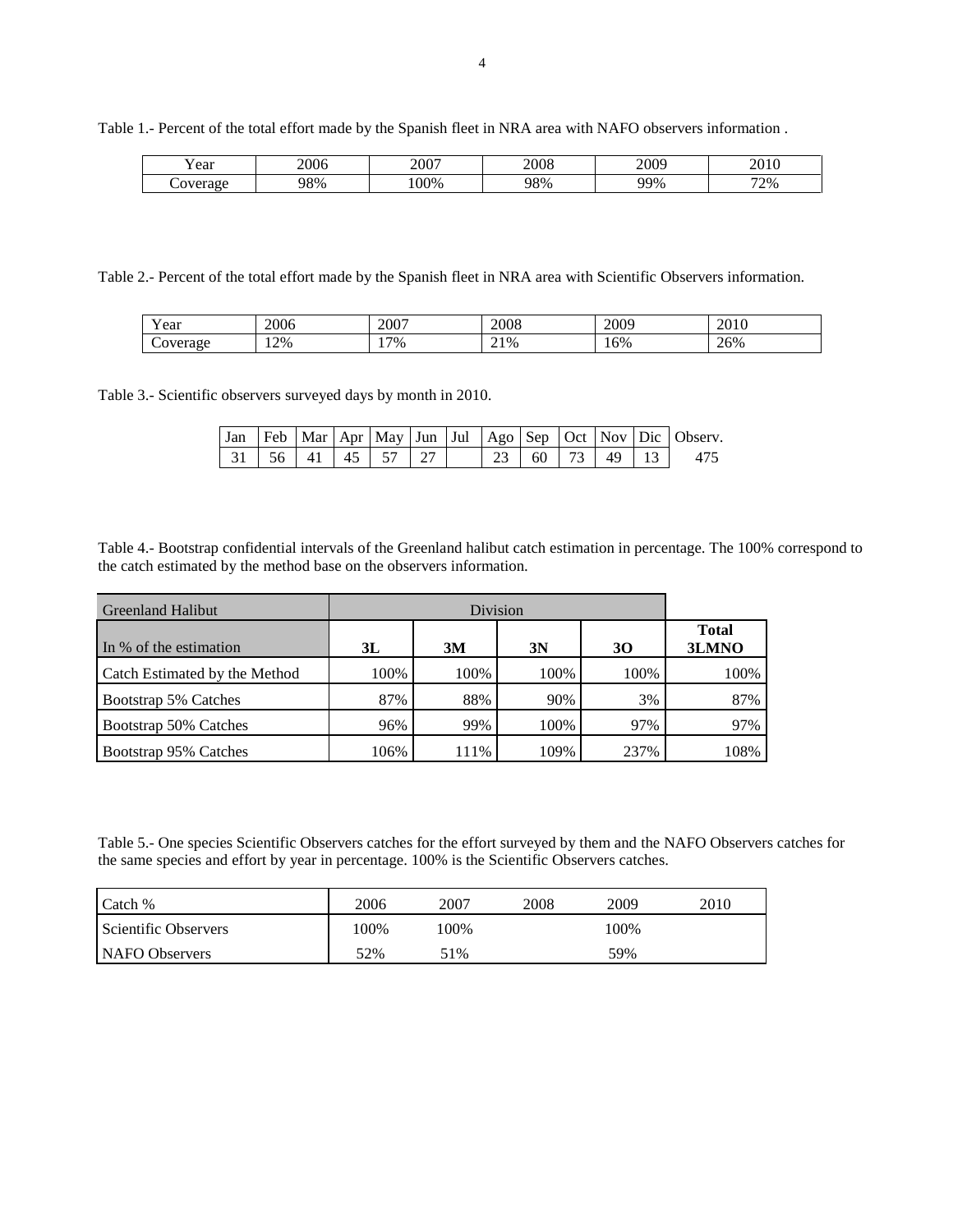| ear | مممو<br>zuut | 2007   | 2008 | nnnn<br>"<br>∠∪∪ | $\sim$<br>- - |
|-----|--------------|--------|------|------------------|---------------|
|     | $28\%$       | $90\%$ | 98%  | 99%              | 72%           |

Table 1.- Percent of the total effort made by the Spanish fleet in NRA area with NAFO observers information .

Table 2.- Percent of the total effort made by the Spanish fleet in NRA area with Scientific Observers information.

| $ -$<br>ear        | 2006    | 2007                              | 2008 | 2009 | 2010<br>2010 |
|--------------------|---------|-----------------------------------|------|------|--------------|
| $\sim$<br>Coverage | 2%<br>. | $7\%$<br>$\overline{\phantom{a}}$ | 21%  | 16%  | 26%          |

Table 3.- Scientific observers surveyed days by month in 2010.

|                                                   |  |  |  |                   |  |  | $\vert$ Jan Feb $\vert$ Mar $\vert$ Apr $\vert$ May $\vert$ Jun $\vert$ Jul $\vert$ Ago $\vert$ Sep $\vert$ Oct $\vert$ Nov $\vert$ Dic $\vert$ Observ. |
|---------------------------------------------------|--|--|--|-------------------|--|--|---------------------------------------------------------------------------------------------------------------------------------------------------------|
| $31 \mid 56 \mid 41 \mid 45 \mid 57 \mid 27 \mid$ |  |  |  | $123$ 60 73 49 13 |  |  |                                                                                                                                                         |

Table 4.- Bootstrap confidential intervals of the Greenland halibut catch estimation in percentage. The 100% correspond to the catch estimated by the method base on the observers information.

| <b>Greenland Halibut</b>      |      |      |      |      |                       |
|-------------------------------|------|------|------|------|-----------------------|
| In % of the estimation        | 3L   | 3M   | 3N   | 30   | <b>Total</b><br>3LMNO |
| Catch Estimated by the Method | 100% | 100% | 100% | 100% | 100%                  |
| Bootstrap 5% Catches          | 87%  | 88%  | 90%  | 3%   | 87%                   |
| Bootstrap 50% Catches         | 96%  | 99%  | 100% | 97%  | 97%                   |
| Bootstrap 95% Catches         | 106% | 111% | 109% | 237% | 108%                  |

Table 5.- One species Scientific Observers catches for the effort surveyed by them and the NAFO Observers catches for the same species and effort by year in percentage. 100% is the Scientific Observers catches.

| Catch %              | 2006 | 2007 | 2008 | 2009 | 2010 |
|----------------------|------|------|------|------|------|
| Scientific Observers | .00% | .00% |      | 100% |      |
| NAFO Observers       | 52%  | 51%  |      | 59%  |      |